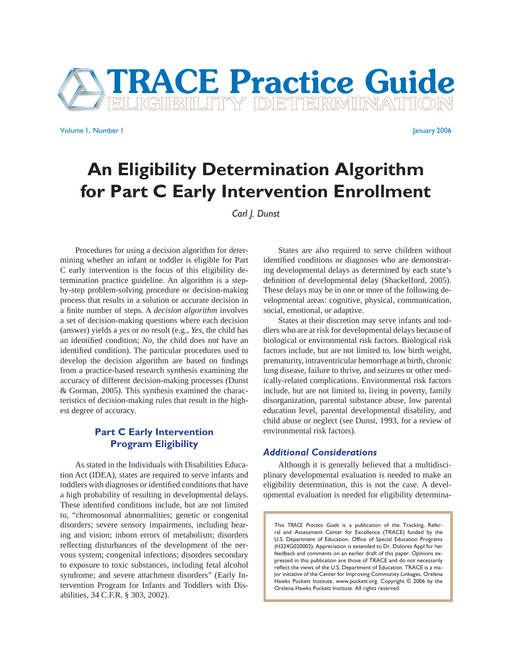

Volume 1, Number 1 January 2006

# **An Eligibility Determination Algorithm for Part C Early Intervention Enrollment**

*Carl J. Dunst*

 Procedures for using a decision algorithm for determining whether an infant or toddler is eligible for Part C early intervention is the focus of this eligibility determination practice guideline. An algorithm is a stepby-step problem-solving procedure or decision-making process that results in a solution or accurate decision in a finite number of steps. A *decision algorithm* involves a set of decision-making questions where each decision (answer) yields a *yes* or *no* result (e.g., *Yes*, the child has an identified condition; *No*, the child does not have an identified condition). The particular procedures used to develop the decision algorithm are based on findings from a practice-based research synthesis examining the accuracy of different decision-making processes (Dunst & Gorman, 2005). This synthesis examined the characteristics of decision-making rules that result in the highest degree of accuracy.

# **Part C Early Intervention Program Eligibility**

 As stated in the Individuals with Disabilities Education Act (IDEA), states are required to serve infants and toddlers with diagnoses or identified conditions that have a high probability of resulting in developmental delays. These identified conditions include, but are not limited to, "chromosomal abnormalities; genetic or congenital disorders; severe sensory impairments, including hearing and vision; inborn errors of metabolism; disorders reflecting disturbances of the development of the nervous system; congenital infections; disorders secondary to exposure to toxic substances, including fetal alcohol syndrome; and severe attachment disorders" (Early Intervention Program for Infants and Toddlers with Disabilities, 34 C.F.R. § 303, 2002).

 States are also required to serve children without identified conditions or diagnoses who are demonstrating developmental delays as determined by each state's definition of developmental delay (Shackelford, 2005). These delays may be in one or more of the following developmental areas: cognitive, physical, communication, social, emotional, or adaptive.

 States at their discretion may serve infants and toddlers who are at risk for developmental delays because of biological or environmental risk factors. Biological risk factors include, but are not limited to, low birth weight, prematurity, intraventricular hemorrhage at birth, chronic lung disease, failure to thrive, and seizures or other medically-related complications. Environmental risk factors include, but are not limited to, living in poverty, family disorganization, parental substance abuse, low parental education level, parental developmental disability, and child abuse or neglect (see Dunst, 1993, for a review of environmental risk factors).

## *Additional Considerations*

 Although it is generally believed that a multidisciplinary developmental evaluation is needed to make an eligibility determination, this is not the case. A developmental evaluation is needed for eligibility determina-

This *TRACE Practice Guide* is a publication of the Tracking, Referral and Assessment Center for Excellence (TRACE) funded by the U.S. Department of Education, Office of Special Education Programs (H324G020002). Appreciation is extended to Dr. Dolores Appl for her feedback and comments on an earlier draft of this paper. Opinions expressed in this publication are those of TRACE and do not necessarily reflect the views of the U.S. Department of Education. TRACE is a major initiative of the Center for Improving Community Linkages, Orelena Hawks Puckett Institute, www.puckett.org. Copyright © 2006 by the Orelena Hawks Puckett Institute. All rights reserved.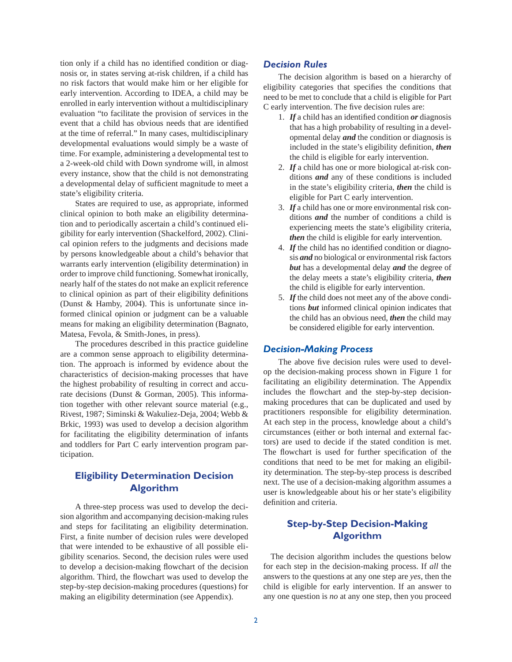tion only if a child has no identified condition or diagnosis or, in states serving at-risk children, if a child has no risk factors that would make him or her eligible for early intervention. According to IDEA, a child may be enrolled in early intervention without a multidisciplinary evaluation "to facilitate the provision of services in the event that a child has obvious needs that are identified at the time of referral." In many cases, multidisciplinary developmental evaluations would simply be a waste of time. For example, administering a developmental test to a 2-week-old child with Down syndrome will, in almost every instance, show that the child is not demonstrating a developmental delay of sufficient magnitude to meet a state's eligibility criteria.

 States are required to use, as appropriate, informed clinical opinion to both make an eligibility determination and to periodically ascertain a child's continued eligibility for early intervention (Shackelford, 2002). Clinical opinion refers to the judgments and decisions made by persons knowledgeable about a child's behavior that warrants early intervention (eligibility determination) in order to improve child functioning. Somewhat ironically, nearly half of the states do not make an explicit reference to clinical opinion as part of their eligibility definitions (Dunst & Hamby, 2004). This is unfortunate since informed clinical opinion or judgment can be a valuable means for making an eligibility determination (Bagnato, Matesa, Fevola, & Smith-Jones, in press).

 The procedures described in this practice guideline are a common sense approach to eligibility determination. The approach is informed by evidence about the characteristics of decision-making processes that have the highest probability of resulting in correct and accurate decisions (Dunst & Gorman, 2005). This information together with other relevant source material (e.g., Rivest, 1987; Siminski & Wakuliez-Deja, 2004; Webb & Brkic, 1993) was used to develop a decision algorithm for facilitating the eligibility determination of infants and toddlers for Part C early intervention program participation.

# **Eligibility Determination Decision Algorithm**

 A three-step process was used to develop the decision algorithm and accompanying decision-making rules and steps for facilitating an eligibility determination. First, a finite number of decision rules were developed that were intended to be exhaustive of all possible eligibility scenarios. Second, the decision rules were used to develop a decision-making flowchart of the decision algorithm. Third, the flowchart was used to develop the step-by-step decision-making procedures (questions) for making an eligibility determination (see Appendix).

## *Decision Rules*

 The decision algorithm is based on a hierarchy of eligibility categories that specifies the conditions that need to be met to conclude that a child is eligible for Part C early intervention. The five decision rules are:

- 1. If a child has an identified condition *or* diagnosis that has a high probability of resulting in a developmental delay *and* the condition or diagnosis is included in the state's eligibility definition, then the child is eligible for early intervention.
- 2. *If* a child has one or more biological at-risk conditions *and* any of these conditions is included in the state's eligibility criteria, *then* the child is eligible for Part C early intervention.
- 3. *If* a child has one or more environmental risk conditions *and* the number of conditions a child is experiencing meets the state's eligibility criteria, *then* the child is eligible for early intervention.
- 4. If the child has no identified condition or diagnosis *and* no biological or environmental risk factors *but* has a developmental delay *and* the degree of the delay meets a state's eligibility criteria, *then* the child is eligible for early intervention.
- 5. *If* the child does not meet any of the above conditions *but* informed clinical opinion indicates that the child has an obvious need, *then* the child may be considered eligible for early intervention.

# *Decision-Making Process*

The above five decision rules were used to develop the decision-making process shown in Figure 1 for facilitating an eligibility determination. The Appendix includes the flowchart and the step-by-step decisionmaking procedures that can be duplicated and used by practitioners responsible for eligibility determination. At each step in the process, knowledge about a child's circumstances (either or both internal and external factors) are used to decide if the stated condition is met. The flowchart is used for further specification of the conditions that need to be met for making an eligibility determination. The step-by-step process is described next. The use of a decision-making algorithm assumes a user is knowledgeable about his or her state's eligibility definition and criteria.

# **Step-by-Step Decision-Making Algorithm**

 The decision algorithm includes the questions below for each step in the decision-making process. If *all* the answers to the questions at any one step are *yes*, then the child is eligible for early intervention. If an answer to any one question is *no* at any one step, then you proceed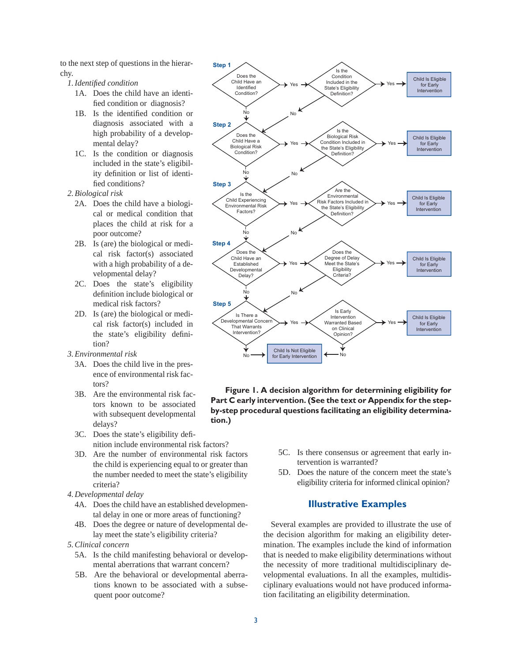to the next step of questions in the hierarchy.

- *1. Identifi ed condition* 
	- 1A. Does the child have an identified condition or diagnosis?
	- 1B. Is the identified condition or diagnosis associated with a high probability of a developmental delay?
	- 1C. Is the condition or diagnosis included in the state's eligibility definition or list of identified conditions?
- *2. Biological risk*
	- 2A. Does the child have a biological or medical condition that places the child at risk for a poor outcome?
	- 2B. Is (are) the biological or medical risk factor(s) associated with a high probability of a developmental delay?
	- 2C. Does the state's eligibility definition include biological or medical risk factors?
	- 2D. Is (are) the biological or medical risk factor(s) included in the state's eligibility definition?
- *3. Environmental risk*
	- 3A. Does the child live in the presence of environmental risk factors?
	- 3B. Are the environmental risk factors known to be associated with subsequent developmental delays?
	- 3C. Does the state's eligibility definition include environmental risk factors?
	- 3D. Are the number of environmental risk factors the child is experiencing equal to or greater than the number needed to meet the state's eligibility criteria?
- *4. Developmental delay*
	- 4A. Does the child have an established developmental delay in one or more areas of functioning?
	- 4B. Does the degree or nature of developmental delay meet the state's eligibility criteria?
- *5. Clinical concern*
	- 5A. Is the child manifesting behavioral or developmental aberrations that warrant concern?
	- 5B. Are the behavioral or developmental aberrations known to be associated with a subsequent poor outcome?



**Figure 1. A decision algorithm for determining eligibility for Part C early intervention. (See the text or Appendix for the stepby-step procedural questions facilitating an eligibility determination.)**

- 5C. Is there consensus or agreement that early intervention is warranted?
- 5D. Does the nature of the concern meet the state's eligibility criteria for informed clinical opinion?

## **Illustrative Examples**

 Several examples are provided to illustrate the use of the decision algorithm for making an eligibility determination. The examples include the kind of information that is needed to make eligibility determinations without the necessity of more traditional multidisciplinary developmental evaluations. In all the examples, multidisciplinary evaluations would not have produced information facilitating an eligibility determination.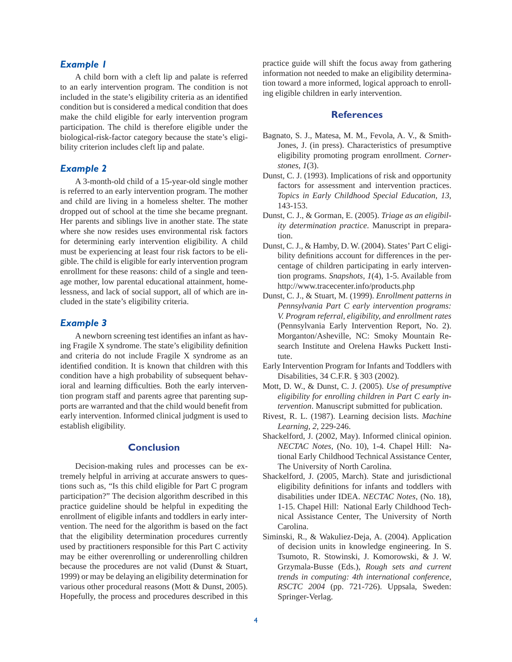# *Example 1*

 A child born with a cleft lip and palate is referred to an early intervention program. The condition is not included in the state's eligibility criteria as an identified condition but is considered a medical condition that does make the child eligible for early intervention program participation. The child is therefore eligible under the biological-risk-factor category because the state's eligibility criterion includes cleft lip and palate.

#### *Example 2*

 A 3-month-old child of a 15-year-old single mother is referred to an early intervention program. The mother and child are living in a homeless shelter. The mother dropped out of school at the time she became pregnant. Her parents and siblings live in another state. The state where she now resides uses environmental risk factors for determining early intervention eligibility. A child must be experiencing at least four risk factors to be eligible. The child is eligible for early intervention program enrollment for these reasons: child of a single and teenage mother, low parental educational attainment, homelessness, and lack of social support, all of which are included in the state's eligibility criteria.

## *Example 3*

A newborn screening test identifies an infant as having Fragile  $X$  syndrome. The state's eligibility definition and criteria do not include Fragile X syndrome as an identified condition. It is known that children with this condition have a high probability of subsequent behavioral and learning difficulties. Both the early intervention program staff and parents agree that parenting supports are warranted and that the child would benefit from early intervention. Informed clinical judgment is used to establish eligibility.

# **Conclusion**

 Decision-making rules and processes can be extremely helpful in arriving at accurate answers to questions such as, "Is this child eligible for Part C program participation?" The decision algorithm described in this practice guideline should be helpful in expediting the enrollment of eligible infants and toddlers in early intervention. The need for the algorithm is based on the fact that the eligibility determination procedures currently used by practitioners responsible for this Part C activity may be either overenrolling or underenrolling children because the procedures are not valid (Dunst & Stuart, 1999) or may be delaying an eligibility determination for various other procedural reasons (Mott & Dunst, 2005). Hopefully, the process and procedures described in this practice guide will shift the focus away from gathering information not needed to make an eligibility determination toward a more informed, logical approach to enrolling eligible children in early intervention.

## **References**

- Bagnato, S. J., Matesa, M. M., Fevola, A. V., & Smith-Jones, J. (in press). Characteristics of presumptive eligibility promoting program enrollment. *Cornerstones, 1*(3).
- Dunst, C. J. (1993). Implications of risk and opportunity factors for assessment and intervention practices. *Topics in Early Childhood Special Education, 13*, 143-153.
- Dunst, C. J., & Gorman, E. (2005). *Triage as an eligibility determination practice*. Manuscript in preparation.
- Dunst, C. J., & Hamby, D. W. (2004). States' Part C eligibility definitions account for differences in the percentage of children participating in early intervention programs. *Snapshots, 1*(4), 1-5. Available from http://www.tracecenter.info/products.php
- Dunst, C. J., & Stuart, M. (1999). *Enrollment patterns in Pennsylvania Part C early intervention programs: V. Program referral, eligibility, and enrollment rates* (Pennsylvania Early Intervention Report, No. 2). Morganton/Asheville, NC: Smoky Mountain Research Institute and Orelena Hawks Puckett Institute.
- Early Intervention Program for Infants and Toddlers with Disabilities, 34 C.F.R. § 303 (2002).
- Mott, D. W., & Dunst, C. J. (2005). *Use of presumptive eligibility for enrolling children in Part C early intervention*. Manuscript submitted for publication.
- Rivest, R. L. (1987). Learning decision lists. *Machine Learning, 2*, 229-246.
- Shackelford, J. (2002, May). Informed clinical opinion. *NECTAC Notes,* (No. 10), 1-4. Chapel Hill: National Early Childhood Technical Assistance Center, The University of North Carolina.
- Shackelford, J. (2005, March). State and jurisdictional eligibility definitions for infants and toddlers with disabilities under IDEA. *NECTAC Notes,* (No. 18), 1-15. Chapel Hill: National Early Childhood Technical Assistance Center, The University of North Carolina.
- Siminski, R., & Wakuliez-Deja, A. (2004). Application of decision units in knowledge engineering. In S. Tsumoto, R. Stowinski, J. Komorowski, & J. W. Grzymala-Busse (Eds.), *Rough sets and current trends in computing: 4th international conference, RSCTC 2004* (pp. 721-726). Uppsala, Sweden: Springer-Verlag.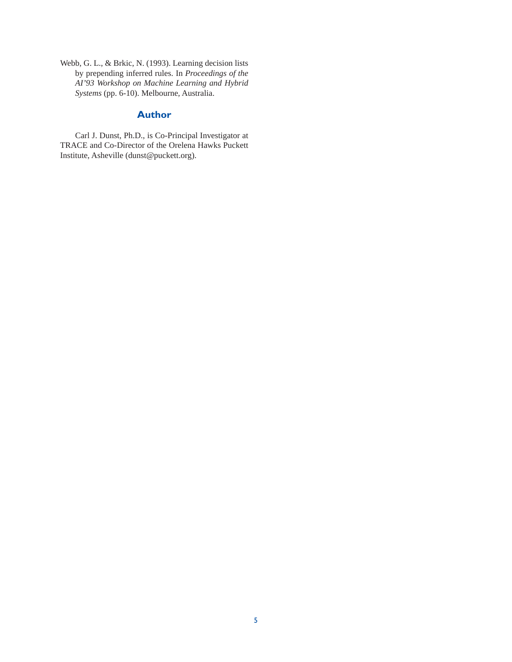Webb, G. L., & Brkic, N. (1993). Learning decision lists by prepending inferred rules. In *Proceedings of the AI'93 Workshop on Machine Learning and Hybrid Systems* (pp. 6-10). Melbourne, Australia.

# **Author**

 Carl J. Dunst, Ph.D., is Co-Principal Investigator at TRACE and Co-Director of the Orelena Hawks Puckett Institute, Asheville (dunst@puckett.org).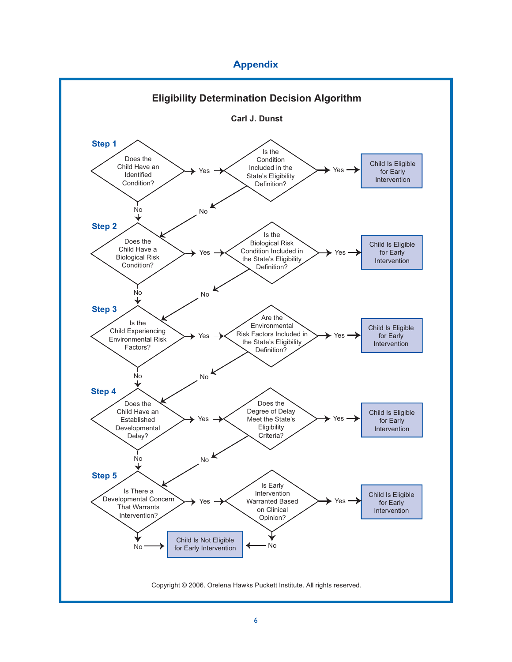# **Appendix**